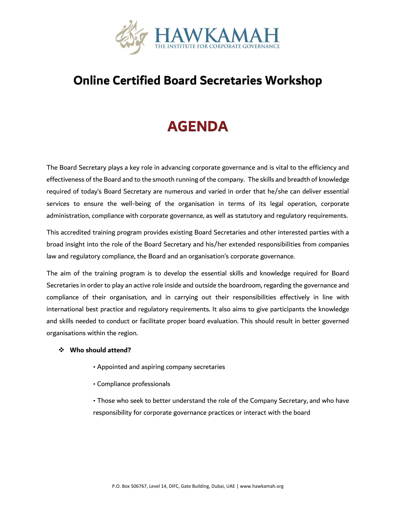

#### **Online Certified Board Secretaries Workshop**

## **AGENDA**

The Board Secretary plays a key role in advancing corporate governance and is vital to the efficiency and effectiveness of the Board and to the smooth running of the company. The skills and breadth of knowledge required of today's Board Secretary are numerous and varied in order that he/she can deliver essential services to ensure the well-being of the organisation in terms of its legal operation, corporate administration, compliance with corporate governance, as well as statutory and regulatory requirements.

This accredited training program provides existing Board Secretaries and other interested parties with a broad insight into the role of the Board Secretary and his/her extended responsibilities from companies law and regulatory compliance, the Board and an organisation's corporate governance.

The aim of the training program is to develop the essential skills and knowledge required for Board Secretaries in order to play an active role inside and outside the boardroom, regarding the governance and compliance of their organisation, and in carrying out their responsibilities effectively in line with international best practice and regulatory requirements. It also aims to give participants the knowledge and skills needed to conduct or facilitate proper board evaluation. This should result in better governed organisations within the region.

#### ❖ **Who should attend?**

- Appointed and aspiring company secretaries
- Compliance professionals

• Those who seek to better understand the role of the Company Secretary, and who have responsibility for corporate governance practices or interact with the board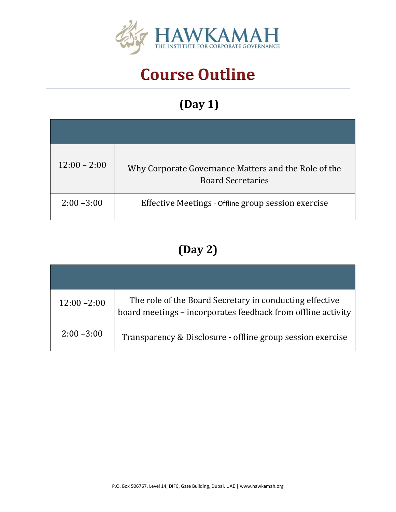

# **Course Outline**

# **(Day 1)**

| $12:00 - 2:00$ | Why Corporate Governance Matters and the Role of the<br><b>Board Secretaries</b> |
|----------------|----------------------------------------------------------------------------------|
| $2:00 - 3:00$  | Effective Meetings - Offline group session exercise                              |

## **(Day 2)**

| $12:00 - 2:00$ | The role of the Board Secretary in conducting effective<br>board meetings - incorporates feedback from offline activity |
|----------------|-------------------------------------------------------------------------------------------------------------------------|
| $2:00 - 3:00$  | Transparency & Disclosure - offline group session exercise                                                              |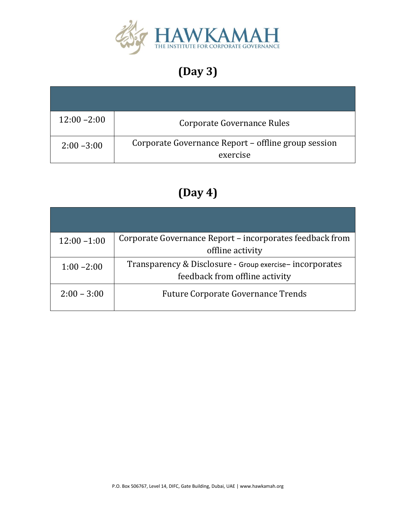

## **(Day 3)**

| $12:00 - 2:00$ | Corporate Governance Rules                                      |
|----------------|-----------------------------------------------------------------|
| $2:00 - 3:00$  | Corporate Governance Report - offline group session<br>exercise |

## **(Day 4)**

| $12:00 - 1:00$ | Corporate Governance Report - incorporates feedback from |
|----------------|----------------------------------------------------------|
|                | offline activity                                         |
| $1:00 - 2:00$  | Transparency & Disclosure - Group exercise-incorporates  |
|                | feedback from offline activity                           |
| $2:00 - 3:00$  | <b>Future Corporate Governance Trends</b>                |